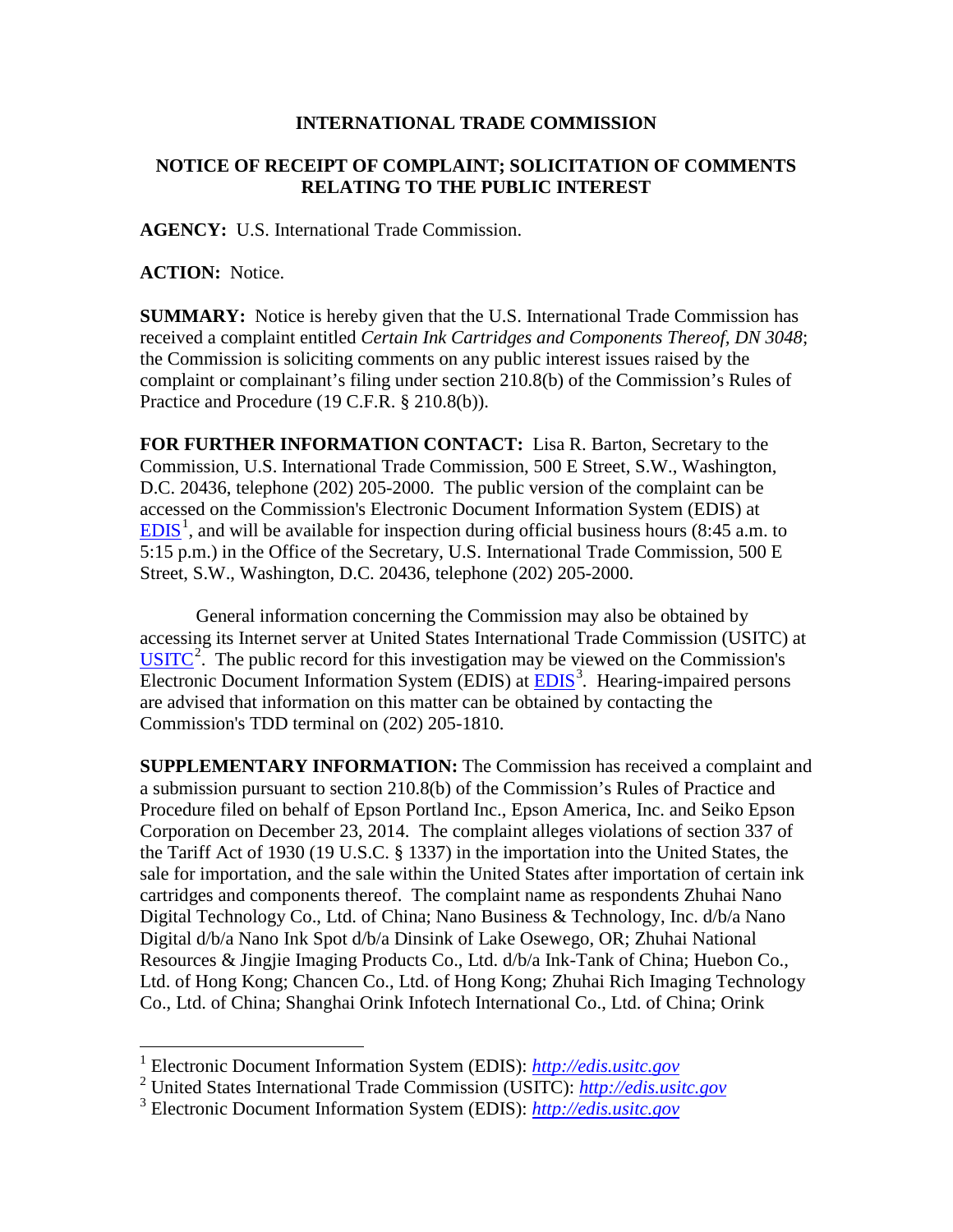## **INTERNATIONAL TRADE COMMISSION**

## **NOTICE OF RECEIPT OF COMPLAINT; SOLICITATION OF COMMENTS RELATING TO THE PUBLIC INTEREST**

**AGENCY:** U.S. International Trade Commission.

**ACTION:** Notice.

 $\overline{a}$ 

**SUMMARY:** Notice is hereby given that the U.S. International Trade Commission has received a complaint entitled *Certain Ink Cartridges and Components Thereof, DN 3048*; the Commission is soliciting comments on any public interest issues raised by the complaint or complainant's filing under section 210.8(b) of the Commission's Rules of Practice and Procedure (19 C.F.R. § 210.8(b)).

**FOR FURTHER INFORMATION CONTACT:** Lisa R. Barton, Secretary to the Commission, U.S. International Trade Commission, 500 E Street, S.W., Washington, D.C. 20436, telephone (202) 205-2000. The public version of the complaint can be accessed on the Commission's Electronic Document Information System (EDIS) at  $EDIS<sup>1</sup>$  $EDIS<sup>1</sup>$  $EDIS<sup>1</sup>$  $EDIS<sup>1</sup>$ , and will be available for inspection during official business hours (8:45 a.m. to 5:15 p.m.) in the Office of the Secretary, U.S. International Trade Commission, 500 E Street, S.W., Washington, D.C. 20436, telephone (202) 205-2000.

General information concerning the Commission may also be obtained by accessing its Internet server at United States International Trade Commission (USITC) at  $\overline{USTTC}^2$  $\overline{USTTC}^2$ . The public record for this investigation may be viewed on the Commission's Electronic Document Information System (EDIS) at **EDIS**<sup>[3](#page-0-2)</sup>. Hearing-impaired persons are advised that information on this matter can be obtained by contacting the Commission's TDD terminal on (202) 205-1810.

**SUPPLEMENTARY INFORMATION:** The Commission has received a complaint and a submission pursuant to section 210.8(b) of the Commission's Rules of Practice and Procedure filed on behalf of Epson Portland Inc., Epson America, Inc. and Seiko Epson Corporation on December 23, 2014. The complaint alleges violations of section 337 of the Tariff Act of 1930 (19 U.S.C. § 1337) in the importation into the United States, the sale for importation, and the sale within the United States after importation of certain ink cartridges and components thereof. The complaint name as respondents Zhuhai Nano Digital Technology Co., Ltd. of China; Nano Business & Technology, Inc. d/b/a Nano Digital d/b/a Nano Ink Spot d/b/a Dinsink of Lake Osewego, OR; Zhuhai National Resources & Jingjie Imaging Products Co., Ltd. d/b/a Ink-Tank of China; Huebon Co., Ltd. of Hong Kong; Chancen Co., Ltd. of Hong Kong; Zhuhai Rich Imaging Technology Co., Ltd. of China; Shanghai Orink Infotech International Co., Ltd. of China; Orink

<sup>1</sup> Electronic Document Information System (EDIS): *[http://edis.usitc.gov](http://edis.usitc.gov/)*

<span id="page-0-1"></span><span id="page-0-0"></span><sup>2</sup> United States International Trade Commission (USITC): *[http://edis.usitc.gov](http://edis.usitc.gov/)*

<span id="page-0-2"></span><sup>3</sup> Electronic Document Information System (EDIS): *[http://edis.usitc.gov](http://edis.usitc.gov/)*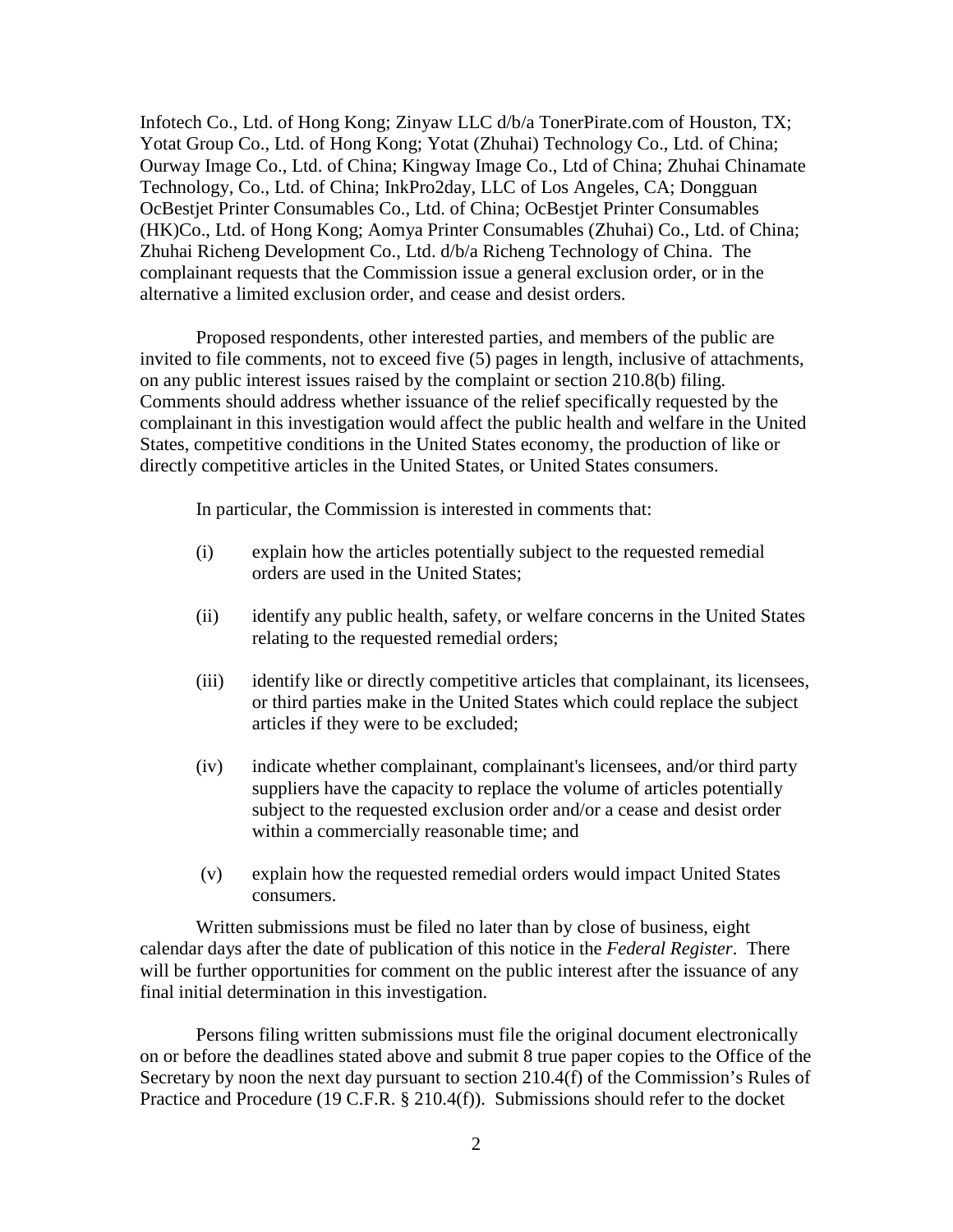Infotech Co., Ltd. of Hong Kong; Zinyaw LLC d/b/a TonerPirate.com of Houston, TX; Yotat Group Co., Ltd. of Hong Kong; Yotat (Zhuhai) Technology Co., Ltd. of China; Ourway Image Co., Ltd. of China; Kingway Image Co., Ltd of China; Zhuhai Chinamate Technology, Co., Ltd. of China; InkPro2day, LLC of Los Angeles, CA; Dongguan OcBestjet Printer Consumables Co., Ltd. of China; OcBestjet Printer Consumables (HK)Co., Ltd. of Hong Kong; Aomya Printer Consumables (Zhuhai) Co., Ltd. of China; Zhuhai Richeng Development Co., Ltd. d/b/a Richeng Technology of China. The complainant requests that the Commission issue a general exclusion order, or in the alternative a limited exclusion order, and cease and desist orders.

Proposed respondents, other interested parties, and members of the public are invited to file comments, not to exceed five (5) pages in length, inclusive of attachments, on any public interest issues raised by the complaint or section 210.8(b) filing. Comments should address whether issuance of the relief specifically requested by the complainant in this investigation would affect the public health and welfare in the United States, competitive conditions in the United States economy, the production of like or directly competitive articles in the United States, or United States consumers.

In particular, the Commission is interested in comments that:

- (i) explain how the articles potentially subject to the requested remedial orders are used in the United States;
- (ii) identify any public health, safety, or welfare concerns in the United States relating to the requested remedial orders;
- (iii) identify like or directly competitive articles that complainant, its licensees, or third parties make in the United States which could replace the subject articles if they were to be excluded;
- (iv) indicate whether complainant, complainant's licensees, and/or third party suppliers have the capacity to replace the volume of articles potentially subject to the requested exclusion order and/or a cease and desist order within a commercially reasonable time; and
- (v) explain how the requested remedial orders would impact United States consumers.

Written submissions must be filed no later than by close of business, eight calendar days after the date of publication of this notice in the *Federal Register*. There will be further opportunities for comment on the public interest after the issuance of any final initial determination in this investigation.

Persons filing written submissions must file the original document electronically on or before the deadlines stated above and submit 8 true paper copies to the Office of the Secretary by noon the next day pursuant to section 210.4(f) of the Commission's Rules of Practice and Procedure (19 C.F.R. § 210.4(f)). Submissions should refer to the docket